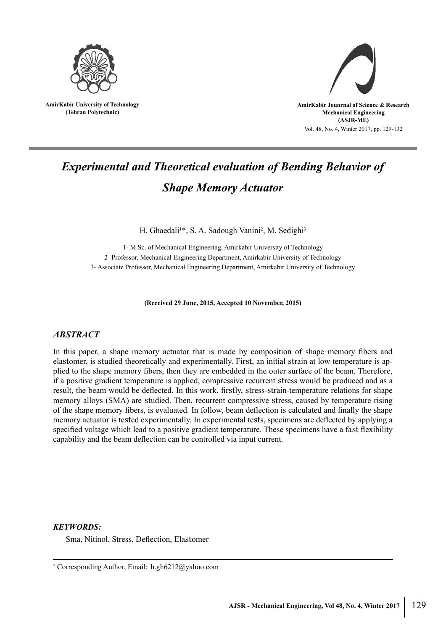

**AmirKabir University of Technology (Tehran Polytechnic)**



# *Experimental and Theoretical evaluation of Bending Behavior of Shape Memory Actuator*

H. Ghaedali<sup>1\*</sup>, S. A. Sadough Vanini<sup>2</sup>, M. Sedighi<sup>3</sup>

1- M.Sc. of Mechanical Engineering, Amirkabir University of Technology 2- Professor, Mechanical Engineering Department, Amirkabir University of Technology 3- Associate Professor, Mechanical Engineering Department, Amirkabir University of Technology

**(Received 29 June, 2015, Accepted 10 November, 2015)**

# *ABSTRACT*

In this paper, a shape memory actuator that is made by composition of shape memory fibers and elastomer, is studied theoretically and experimentally. First, an initial strain at low temperature is applied to the shape memory fibers, then they are embedded in the outer surface of the beam. Therefore, if a positive gradient temperature is applied, compressive recurrent stress would be produced and as a result, the beam would be deflected. In this work, firstly, stress-strain-temperature relations for shape memory alloys (SMA) are studied. Then, recurrent compressive stress, caused by temperature rising of the shape memory fibers, is evaluated. In follow, beam deflection is calculated and finally the shape memory actuator is tested experimentally. In experimental tests, specimens are deflected by applying a specified voltage which lead to a positive gradient temperature. These specimens have a fast flexibility capability and the beam deflection can be controlled via input current.

# *KEYWORDS:*

Sma, Nitinol, Stress, Deflection, Elastomer

<sup>\*</sup> Corresponding Author, Email: h.gh6212@yahoo.com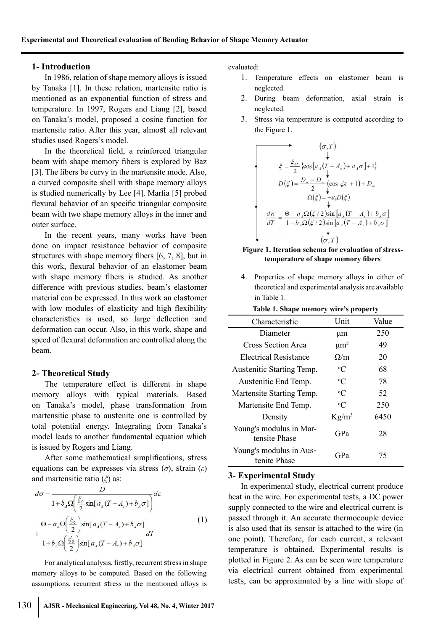### **1- Introduction**

In 1986, relation of shape memory alloys is issued by Tanaka [1]. In these relation, martensite ratio is mentioned as an exponential function of stress and temperature. In 1997, Rogers and Liang [2], based on Tanaka's model, proposed a cosine function for martensite ratio. After this year, almost all relevant studies used Rogers's model.

In the theoretical field, a reinforced triangular beam with shape memory fibers is explored by Baz [3]. The fibers be curvy in the martensite mode. Also, a curved composite shell with shape memory alloys is studied numerically by Lee [4]. Marfia [5] probed flexural behavior of an specific triangular composite beam with two shape memory alloys in the inner and outer surface.

In the recent years, many works have been done on impact resistance behavior of composite structures with shape memory fibers [6, 7, 8], but in this work, flexural behavior of an elastomer beam with shape memory fibers is studied. As another difference with previous studies, beam's elastomer material can be expressed. In this work an elastomer with low modules of elasticity and high flexibility characteristics is used, so large deflection and deformation can occur. Also, in this work, shape and speed of flexural deformation are controlled along the beam.

# **2- Theoretical Study**

The temperature effect is different in shape memory alloys with typical materials. Based on Tanaka's model, phase transformation from martensitic phase to austenite one is controlled by total potential energy. Integrating from Tanaka's model leads to another fundamental equation which is issued by Rogers and Liang.

After some mathematical simplifications, stress equations can be expresses via stress (*σ*), strain (*ε*) and martensitic ratio (*ξ*) as:

$$
d\sigma = \frac{D}{1 + b_A \Omega \left(\frac{\xi_0}{2} \sin[\,a_A(T - A_s) + b_A \sigma]\right)} d\varepsilon
$$
  
+ 
$$
\frac{\Theta - a_A \Omega \left(\frac{\xi_0}{2}\right) \sin[\,a_A(T - A_s) + b_A \sigma]\right}{1 + b_A \Omega \left(\frac{\xi_0}{2}\right) \sin[\,a_A(T - A_s) + b_A \sigma]\right)} dT
$$
 (1)

For analytical analysis, firstly, recurrent stress in shape memory alloys to be computed. Based on the following assumptions, recurrent stress in the mentioned alloys is

- 1. Temperature effects on elastomer beam is neglected.
- 2. During beam deformation, axial strain is neglected.
- 3. Stress via temperature is computed according to the Figure 1.

$$
\xi = \frac{\xi_M}{2} \left\{ \cos \left[ a_A (T - A_s) + a_A \sigma \right] + 1 \right\}
$$
  

$$
D(\xi) = \frac{D_a - D_m}{2} \left( \cos \xi \pi + 1 \right) + D_m
$$
  

$$
\Omega(\xi) = -\varepsilon_I D(\xi)
$$
  

$$
\frac{d\sigma}{dT} = \frac{\Theta - a_A \Omega(\xi/2) \sin \left[ a_A (T - A_s) + b_A \sigma \right]}{1 + b_A \Omega(\xi/2) \sin \left[ a_A (T - A_s) + b_A \sigma \right]}
$$
  

$$
\downarrow
$$
  

$$
(\sigma, T)
$$

#### **Figure 1. Iteration schema for evaluation of stresstemperature of shape memory fibers**

4. Properties of shape memory alloys in either of theoretical and experimental analysis are available in Table 1.

| Table 1. Shape memory wire's property    |                      |       |
|------------------------------------------|----------------------|-------|
| Characteristic                           | Unit                 | Value |
| Diameter                                 | μm                   | 250   |
| <b>Cross Section Area</b>                | $\mu$ m <sup>2</sup> | 49    |
| Electrical Resistance                    | $\Omega/m$           | 20    |
| Austenitic Starting Temp.                | $\rm ^{o}C$          | 68    |
| Austenitic End Temp.                     | $\rm ^{o}C$          | 78    |
| Martensite Starting Temp.                | $\rm ^{o}C$          | 52    |
| Martensite End Temp.                     | $\rm ^{o}C$          | 250   |
| Density                                  | $Kg/m^3$             | 6450  |
| Young's modulus in Mar-<br>tensite Phase | GPa                  | 28    |
| Young's modulus in Aus-<br>tenite Phase  | GPa                  | 75    |

# **3- Experimental Study**

In experimental study, electrical current produce heat in the wire. For experimental tests, a DC power supply connected to the wire and electrical current is passed through it. An accurate thermocouple device is also used that its sensor is attached to the wire (in one point). Therefore, for each current, a relevant temperature is obtained. Experimental results is plotted in Figure 2. As can be seen wire temperature via electrical current obtained from experimental tests, can be approximated by a line with slope of